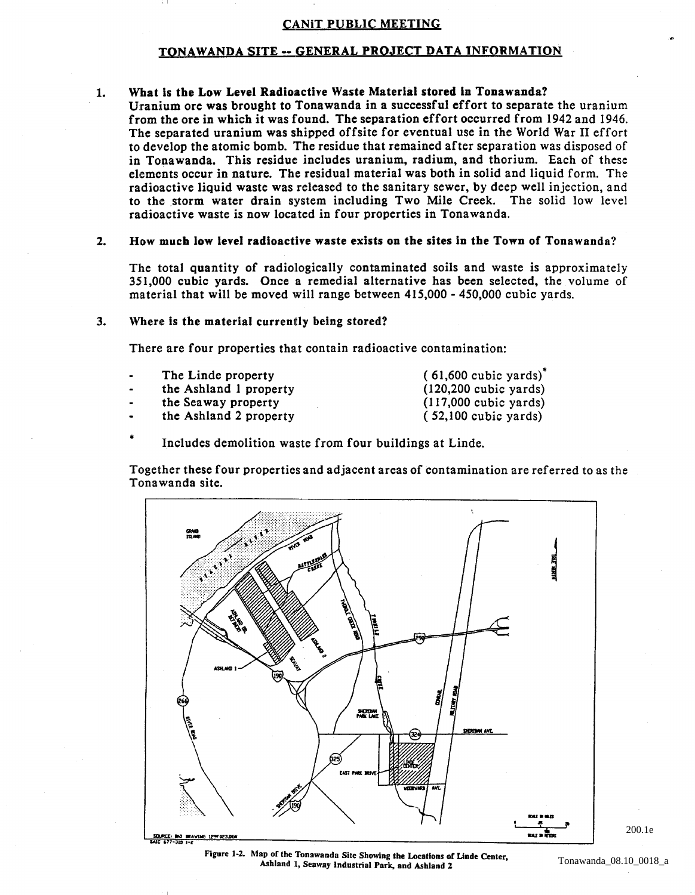#### CANiT PUBLIC MEETING

#### TONAWANDA SITE -- GENERAL PROJECT DATA INFORMATION

#### 1. What is the Low Level Radioactive Waste Material stored in Tonawanda?

Uranium ore was brought to Tonawanda in a successful effort to separate the uranium from the ore in which it was found. The separation effort occurred from 1942 and 1946. The separated uranium was shipped offsite for eventual use in the World War II effort to develop the atomic bomb. The residue that remained after separation was disposed of in Tonawanda. This residue includes uranium, radium, and thorium. Each of these elements occur in nature. The residual material was both in solid and liquid form. The radioactive liquid waste was released to the sanitary sewer, by deep well injection, and to the storm water drain system including Two Mile Creek. The solid low level radioactive waste is now located in four properties in Tonawanda.

#### 2. How much low level radioactive waste exists on the sites in the Town of Tonawanda?

The total quantity of radiologically contaminated soils and waste is approximately 351,000 cubic yards. Once a remedial alternative has been selected, the volume of material that will be moved will range between 415,000 - 450,000 cubic yards.

#### 3. Where is the material currently being stored?

There are four properties that contain radioactive contamination:

- The Linde property
- the Ashland I property
- the Seaway property
- the Ashland 2 property

 $(61,600$  cubic yards)<sup> $\cdot$ </sup> (120,200 cubic yards) (117,000 cubic yards) ( 52,100 cubic yards)

• Includes demolition waste from four buildings at Linde.

Together these four properties and adjacent areas of contamination are referred to as the Tonawanda site.



Figure 1·2. Map of the Tonawanda Site Showing the Locations of Linde Center, Ashland 1, Seaway Industrial Park, and Ashland 2

200.1e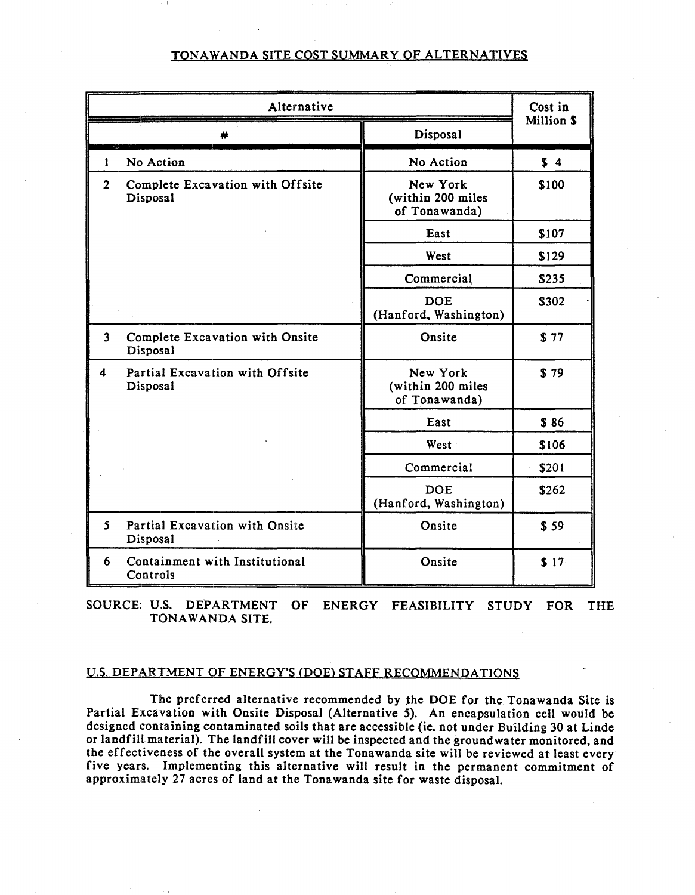### TONAWANDA SITE COST SUMMARY OF ALTERNATIVES

| Alternative    |                                              |                                                | Cost in   |  |
|----------------|----------------------------------------------|------------------------------------------------|-----------|--|
|                | #                                            | Disposal                                       | Million S |  |
| 1              | No Action                                    | No Action                                      | \$4       |  |
| $\overline{2}$ | Complete Excavation with Offsite<br>Disposal | New York<br>(within 200 miles<br>of Tonawanda) | \$100     |  |
|                |                                              | East                                           | \$107     |  |
|                |                                              | West                                           | \$129     |  |
|                |                                              | Commercial                                     | \$235     |  |
|                |                                              | <b>DOE</b><br>(Hanford, Washington)            | \$302     |  |
| 3 <sup>1</sup> | Complete Excavation with Onsite<br>Disposal  | Onsite                                         | \$77      |  |
| 4              | Partial Excavation with Offsite<br>Disposal  | New York<br>(within 200 miles<br>of Tonawanda) | \$79      |  |
|                |                                              | East                                           | \$86      |  |
|                |                                              | West                                           | \$106     |  |
|                |                                              | Commercial                                     | \$201     |  |
|                |                                              | <b>DOE</b><br>(Hanford, Washington)            | \$262     |  |
| 5.             | Partial Excavation with Onsite<br>Disposal   | Onsite                                         | \$59      |  |
| 6              | Containment with Institutional<br>Controls   | Onsite                                         | \$17      |  |

SOURCE: U.S. DEPARTMENT OF ENERGY FEASIBILITY STUDY FOR THE TONAWANDA SITE.

#### U.s. DEPARTMENT OF ENERGY'S (DOE) STAFF RECOMMENDATIONS

The preferred alternative recommended by the DOE for the Tonawanda Site is Partial Excavation with Onsite Disposal (Alternative 5). An encapsulation cell would be designed containing contaminated soils that are accessible (ie. not under Building 30 at Linde or landfill material). The landfill cover will be inspected and the groundwater monitored. and the effectiveness of the overall system at the Tonawanda site will be reviewed at least every five years. Implementing this alternative will result in the permanent commitment of approximately 27 acres of land at the Tonawanda site for waste disposal.